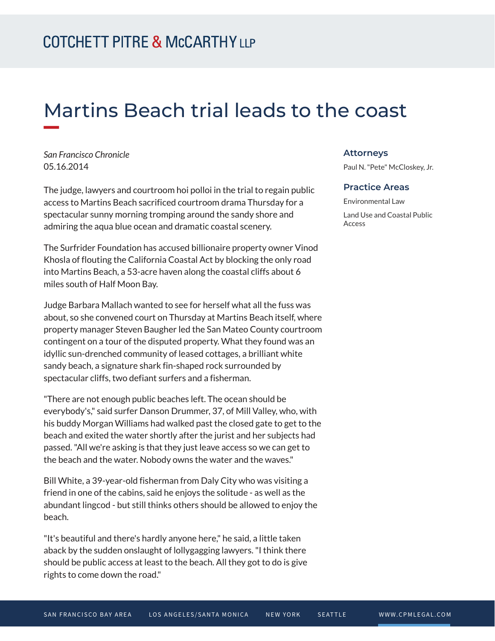# Martins Beach trial leads to the coast

*San Francisco Chronicle* 05.16.2014

The judge, lawyers and courtroom hoi polloi in the trial to regain public access to Martins Beach sacrificed courtroom drama Thursday for a spectacular sunny morning tromping around the sandy shore and admiring the aqua blue ocean and dramatic coastal scenery.

The Surfrider Foundation has accused billionaire property owner Vinod Khosla of flouting the California Coastal Act by blocking the only road into Martins Beach, a 53-acre haven along the coastal cliffs about 6 miles south of Half Moon Bay.

Judge Barbara Mallach wanted to see for herself what all the fuss was about, so she convened court on Thursday at Martins Beach itself, where property manager Steven Baugher led the San Mateo County courtroom contingent on a tour of the disputed property. What they found was an idyllic sun-drenched community of leased cottages, a brilliant white sandy beach, a signature shark fin-shaped rock surrounded by spectacular cliffs, two defiant surfers and a fisherman.

"There are not enough public beaches left. The ocean should be everybody's," said surfer Danson Drummer, 37, of Mill Valley, who, with his buddy Morgan Williams had walked past the closed gate to get to the beach and exited the water shortly after the jurist and her subjects had passed. "All we're asking is that they just leave access so we can get to the beach and the water. Nobody owns the water and the waves."

Bill White, a 39-year-old fisherman from Daly City who was visiting a friend in one of the cabins, said he enjoys the solitude - as well as the abundant lingcod - but still thinks others should be allowed to enjoy the beach.

"It's beautiful and there's hardly anyone here," he said, a little taken aback by the sudden onslaught of lollygagging lawyers. "I think there should be public access at least to the beach. All they got to do is give rights to come down the road."

### **Attorneys**

Paul N. "Pete" McCloskey, Jr.

#### **Practice Areas**

Environmental Law Land Use and Coastal Public Access